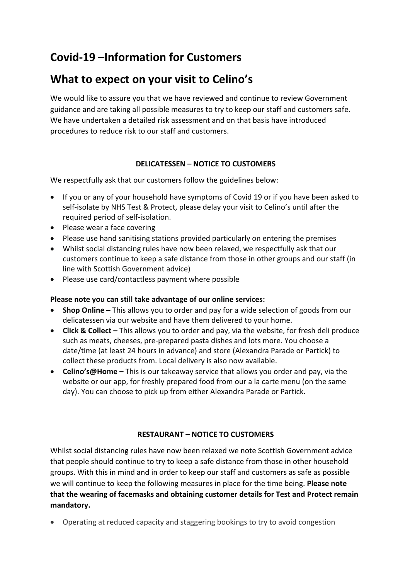# **Covid-19 –Information for Customers**

# **What to expect on your visit to Celino's**

We would like to assure you that we have reviewed and continue to review Government guidance and are taking all possible measures to try to keep our staff and customers safe. We have undertaken a detailed risk assessment and on that basis have introduced procedures to reduce risk to our staff and customers.

## **DELICATESSEN – NOTICE TO CUSTOMERS**

We respectfully ask that our customers follow the guidelines below:

- If you or any of your household have symptoms of Covid 19 or if you have been asked to self-isolate by NHS Test & Protect, please delay your visit to Celino's until after the required period of self-isolation.
- Please wear a face covering
- Please use hand sanitising stations provided particularly on entering the premises
- Whilst social distancing rules have now been relaxed, we respectfully ask that our customers continue to keep a safe distance from those in other groups and our staff (in line with Scottish Government advice)
- Please use card/contactless payment where possible

### **Please note you can still take advantage of our online services:**

- **Shop Online –** This allows you to order and pay for a wide selection of goods from our delicatessen via our website and have them delivered to your home.
- **Click & Collect –** This allows you to order and pay, via the website, for fresh deli produce such as meats, cheeses, pre-prepared pasta dishes and lots more. You choose a date/time (at least 24 hours in advance) and store (Alexandra Parade or Partick) to collect these products from. Local delivery is also now available.
- **Celino's@Home –** This is our takeaway service that allows you order and pay, via the website or our app, for freshly prepared food from our a la carte menu (on the same day). You can choose to pick up from either Alexandra Parade or Partick.

### **RESTAURANT – NOTICE TO CUSTOMERS**

Whilst social distancing rules have now been relaxed we note Scottish Government advice that people should continue to try to keep a safe distance from those in other household groups. With this in mind and in order to keep our staff and customers as safe as possible we will continue to keep the following measures in place for the time being. **Please note that the wearing of facemasks and obtaining customer details for Test and Protect remain mandatory.**

• Operating at reduced capacity and staggering bookings to try to avoid congestion